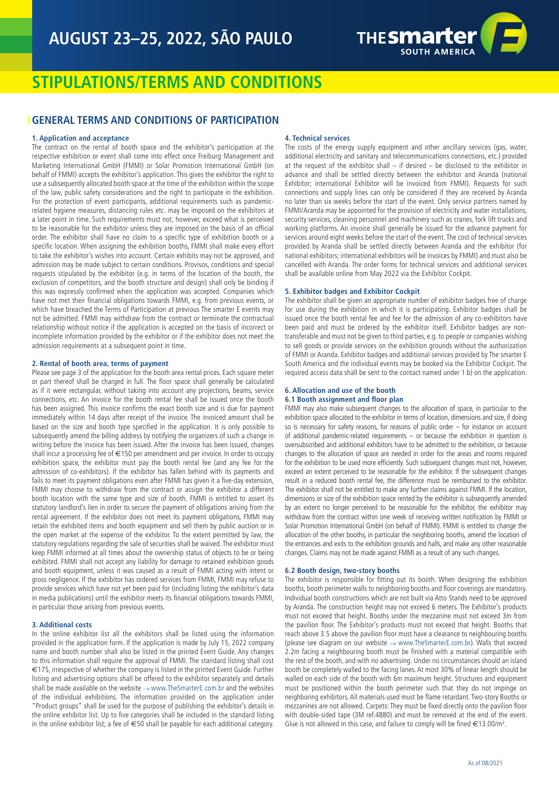

# **STIPULATIONS/TERMS AND CONDITIONS**

## **GENERAL TERMS AND CONDITIONS OF PARTICIPATION**

## **1. Application and acceptance**

The contract on the rental of booth space and the exhibitor's participation at the respective exhibition or event shall come into effect once Freiburg Management and Marketing International GmbH (FMMI) or Solar Promotion International GmbH (on behalf of FMMI) accepts the exhibitor's application. This gives the exhibitor the right to use a subsequently allocated booth space at the time of the exhibition within the scope of the law, public safety considerations and the right to participate in the exhibition. For the protection of event participants, additional requirements such as pandemicrelated hygiene measures, distancing rules etc. may be imposed on the exhibitors at a later point in time. Such requirements must not, however, exceed what is perceived to be reasonable for the exhibitor unless they are imposed on the basis of an official order. The exhibitor shall have no claim to a specific type of exhibition booth or a specific location. When assigning the exhibition booths, FMMI shall make every effort to take the exhibitor's wishes into account. Certain exhibits may not be approved, and admission may be made subject to certain conditions. Provisos, conditions and special requests stipulated by the exhibitor (e.g. in terms of the location of the booth, the exclusion of competitors, and the booth structure and design) shall only be binding if this was expressly confirmed when the application was accepted. Companies which have not met their financial obligations towards FMMI, e.g. from previous events, or which have breached the Terms of Participation at previous The smarter E events may not be admitted. FMMI may withdraw from the contract or terminate the contractual relationship without notice if the application is accepted on the basis of incorrect or incomplete information provided by the exhibitor or if the exhibitor does not meet the admission requirements at a subsequent point in time.

## **2. Rental of booth area, terms of payment**

Please see page 3 of the application for the booth area rental prices. Each square meter or part thereof shall be charged in full. The floor space shall generally be calculated as if it were rectangular, without taking into account any projections, beams, service connections, etc. An invoice for the booth rental fee shall be issued once the booth has been assigned. This invoice confirms the exact booth size and is due for payment immediately within 14 days after receipt of the invoice. The invoiced amount shall be based on the size and booth type specified in the application. It is only possible to subsequently amend the billing address by notifying the organizers of such a change in writing before the invoice has been issued. After the invoice has been issued, changes shall incur a processing fee of  $\epsilon$ 150 per amendment and per invoice. In order to occupy exhibition space, the exhibitor must pay the booth rental fee (and any fee for the admission of co-exhibitors). If the exhibitor has fallen behind with its payments and fails to meet its payment obligations even after FMMI has given it a five-day extension, FMMI may choose to withdraw from the contract or assign the exhibitor a different booth location with the same type and size of booth. FMMI is entitled to assert its statutory landlord's lien in order to secure the payment of obligations arising from the rental agreement. If the exhibitor does not meet its payment obligations, FMMI may retain the exhibited items and booth equipment and sell them by public auction or in the open market at the expense of the exhibitor. To the extent permitted by law, the statutory regulations regarding the sale of securities shall be waived. The exhibitor must keep FMMI informed at all times about the ownership status of objects to be or being exhibited. FMMI shall not accept any liability for damage to retained exhibition goods and booth equipment, unless it was caused as a result of FMMI acting with intent or gross negligence. If the exhibitor has ordered services from FMMI, FMMI may refuse to provide services which have not yet been paid for (including listing the exhibitor's data in media publications) until the exhibitor meets its financial obligations towards FMMI, in particular those arising from previous events.

#### **3. Additional costs**

In the online exhibitor list all the exhibitors shall be listed using the information provided in the application form. If the application is made by July 15, 2022 company name and booth number shall also be listed in the printed Event Guide. Any changes to this information shall require the approval of FMMI. The standard listing shall cost €175, irrespective of whether the company is listed in the printed Event Guide. Further listing and advertising options shall be offered to the exhibitor separately and details shall be made available on the website  $\rightarrow$  www.TheSmarterE.com.br and the websites of the individual exhibitions. The information provided on the application under "Product groups" shall be used for the purpose of publishing the exhibitor's details in the online exhibitor list. Up to five categories shall be included in the standard listing in the online exhibitor list; a fee of  $\in$  50 shall be payable for each additional category.

## **4. Technical services**

The costs of the energy supply equipment and other ancillary services (gas, water, additional electricity and sanitary and telecommunications connections, etc.) provided at the request of the exhibitor shall  $-$  if desired  $-$  be disclosed to the exhibitor in advance and shall be settled directly between the exhibitor and Aranda (national Exhibitor; international Exhibitor will be invoiced from FMMI). Requests for such connections and supply lines can only be considered if they are received by Aranda no later than six weeks before the start of the event. Only service partners named by FMMI/Aranda may be appointed for the provision of electricity and water installations, security services, cleaning personnel and machinery such as cranes, fork lift trucks and working platforms. An invoice shall generally be issued for the advance payment for services around eight weeks before the start of the event. The cost of technical services provided by Aranda shall be settled directly between Aranda and the exhibitor (for national exhibitors; international exhibitors will be invoices by FMMI) and must also be cancelled with Aranda. The order forms for technical services and additional services shall be available online from May 2022 via the Exhibitor Cockpit.

## **5. Exhibitor badges and Exhibitor Cockpit**

The exhibitor shall be given an appropriate number of exhibitor badges free of charge for use during the exhibition in which it is participating. Exhibitor badges shall be issued once the booth rental fee and fee for the admission of any co-exhibitors have been paid and must be ordered by the exhibitor itself. Exhibitor badges are nontransferable and must not be given to third parties, e.g. to people or companies wishing to sell goods or provide services on the exhibition grounds without the authorization of FMMI or Aranda. Exhibitor badges and additional services provided by The smarter E South America and the individual events may be booked via the Exhibitor Cockpit. The required access data shall be sent to the contact named under 1 b) on the application.

## **6. Allocation and use of the booth**

## **6.1 Booth assignment and floor plan**

FMMI may also make subsequent changes to the allocation of space, in particular to the exhibition space allocated to the exhibitor in terms of location, dimensions and size, if doing so is necessary for safety reasons, for reasons of public order – for instance on account of additional pandemic-related requirements – or because the exhibition in question is oversubscribed and additional exhibitors have to be admitted to the exhibition, or because changes to the allocation of space are needed in order for the areas and rooms required for the exhibition to be used more efficiently. Such subsequent changes must not, however, exceed an extent perceived to be reasonable for the exhibitor. If the subsequent changes result in a reduced booth rental fee, the difference must be reimbursed to the exhibitor. The exhibitor shall not be entitled to make any further claims against FMMI. If the location, dimensions or size of the exhibition space rented by the exhibitor is subsequently amended by an extent no longer perceived to be reasonable for the exhibitor, the exhibitor may withdraw from the contract within one week of receiving written notification by FMMI or Solar Promotion International GmbH (on behalf of FMMI). FMMI is entitled to change the allocation of the other booths, in particular the neighboring booths, amend the location of the entrances and exits to the exhibition grounds and halls, and make any other reasonable changes. Claims may not be made against FMMI as a result of any such changes.

#### **6.2 Booth design, two-story booths**

The exhibitor is responsible for fitting out its booth. When designing the exhibition booths, booth perimeter walls to neighboring booths and floor coverings are mandatory. Individual booth constructions which are not built via Atto Stands need to be approved by Aranda. The construction height may not exceed 6 meters. The Exhibitor's products must not exceed that height. Booths under the mezzanine must not exceed 3m from the pavilion floor. The Exhibitor's products must not exceed that height. Booths that reach above 3.5 above the pavilion floor must have a clearance to neighbouring booths (please see diagram on our website  $\rightarrow$  www.TheSmarterE.com.br). Walls that exceed 2.2m facing a neighbouring booth must be finished with a material compatible with the rest of the booth, and with no advertising. Under no circumstances should an island booth be completely walled to the facing lanes. At most 30% of linear length should be walled on each side of the booth with 6m maximum height. Structures and equipment must be positioned within the booth perimeter such that they do not impinge on neighboring exhibitors. All materials used must be flame retardant. Two-story Booths or mezzanines are not allowed. Carpets: They must be fixed directly onto the pavilion floor with double-sided tape (3M ref.4880) and must be removed at the end of the event. Glue is not allowed in this case, and failure to comply will be fined  $\in$  13.00/m<sup>2</sup>.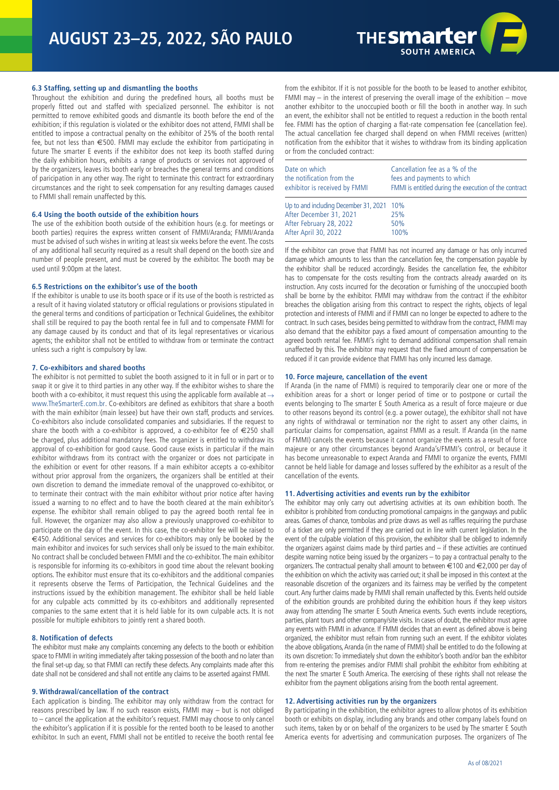

## **6.3 Staffing, setting up and dismantling the booths**

Throughout the exhibition and during the predefined hours, all booths must be properly fitted out and staffed with specialized personnel. The exhibitor is not permitted to remove exhibited goods and dismantle its booth before the end of the exhibition; if this regulation is violated or the exhibitor does not attend, FMMI shall be entitled to impose a contractual penalty on the exhibitor of 25% of the booth rental fee, but not less than €500. FMMI may exclude the exhibitor from participating in future The smarter E events if the exhibitor does not keep its booth staffed during the daily exhibition hours, exhibits a range of products or services not approved of by the organizers, leaves its booth early or breaches the general terms and conditions of paricipation in any other way. The right to terminate this contract for extraordinary circumstances and the right to seek compensation for any resulting damages caused to FMMI shall remain unaffected by this.

#### **6.4 Using the booth outside of the exhibition hours**

The use of the exhibition booth outside of the exhibition hours (e.g. for meetings or booth parties) requires the express written consent of FMMI/Aranda; FMMI/Aranda must be advised of such wishes in writing at least six weeks before the event. The costs of any additional hall security required as a result shall depend on the booth size and number of people present, and must be covered by the exhibitor. The booth may be used until 9:00pm at the latest.

#### **6.5 Restrictions on the exhibitor's use of the booth**

If the exhibitor is unable to use its booth space or if its use of the booth is restricted as a result of it having violated statutory or official regulations or provisions stipulated in the general terms and conditions of participation or Technical Guidelines, the exhibitor shall still be required to pay the booth rental fee in full and to compensate FMMI for any damage caused by its conduct and that of its legal representatives or vicarious agents; the exhibitor shall not be entitled to withdraw from or terminate the contract unless such a right is compulsory by law.

## **7. Co-exhibitors and shared booths**

The exhibitor is not permitted to sublet the booth assigned to it in full or in part or to swap it or give it to third parties in any other way. If the exhibitor wishes to share the booth with a co-exhibitor, it must request this using the applicable form available at  $\rightarrow$ www.TheSmarterE.com.br. Co-exhibitors are defined as exhibitors that share a booth with the main exhibitor (main lessee) but have their own staff, products and services. Co-exhibitors also include consolidated companies and subsidiaries. If the request to share the booth with a co-exhibitor is approved, a co-exhibitor fee of €250 shall be charged, plus additional mandatory fees. The organizer is entitled to withdraw its approval of co-exhibition for good cause. Good cause exists in particular if the main exhibitor withdraws from its contract with the organizer or does not participate in the exhibition or event for other reasons. If a main exhibitor accepts a co-exhibitor without prior approval from the organizers, the organizers shall be entitled at their own discretion to demand the immediate removal of the unapproved co-exhibitor, or to terminate their contract with the main exhibitor without prior notice after having issued a warning to no effect and to have the booth cleared at the main exhibitor's expense. The exhibitor shall remain obliged to pay the agreed booth rental fee in full. However, the organizer may also allow a previously unapproved co-exhibitor to participate on the day of the event. In this case, the co-exhibitor fee will be raised to €450. Additional services and services for co-exhibitors may only be booked by the main exhibitor and invoices for such services shall only be issued to the main exhibitor. No contract shall be concluded between FMMI and the co-exhibitor. The main exhibitor is responsible for informing its co-exhibitors in good time about the relevant booking options. The exhibitor must ensure that its co-exhibitors and the additional companies it represents observe the Terms of Participation, the Technical Guidelines and the instructions issued by the exhibition management. The exhibitor shall be held liable for any culpable acts committed by its co-exhibitors and additionally represented companies to the same extent that it is held liable for its own culpable acts. It is not possible for multiple exhibitors to jointly rent a shared booth.

#### **8. Notification of defects**

The exhibitor must make any complaints concerning any defects to the booth or exhibition space to FMMI in writing immediately after taking possession of the booth and no later than the final set-up day, so that FMMI can rectify these defects. Any complaints made after this date shall not be considered and shall not entitle any claims to be asserted against FMMI.

#### **9. Withdrawal/cancellation of the contract**

Each application is binding. The exhibitor may only withdraw from the contract for reasons prescribed by law. If no such reason exists, FMMI may – but is not obliged to – cancel the application at the exhibitor's request. FMMI may choose to only cancel the exhibitor's application if it is possible for the rented booth to be leased to another exhibitor. In such an event, FMMI shall not be entitled to receive the booth rental fee

from the exhibitor. If it is not possible for the booth to be leased to another exhibitor, FMMI may  $-$  in the interest of preserving the overall image of the exhibition  $-$  move another exhibitor to the unoccupied booth or fill the booth in another way. In such an event, the exhibitor shall not be entitled to request a reduction in the booth rental fee. FMMI has the option of charging a flat-rate compensation fee (cancellation fee). The actual cancellation fee charged shall depend on when FMMI receives (written) notification from the exhibitor that it wishes to withdraw from its binding application or from the concluded contract:

| Date on which<br>the notification from the<br>exhibitor is received by FMMI | Cancellation fee as a % of the<br>fees and payments to which<br>FMMI is entitled during the execution of the contract |
|-----------------------------------------------------------------------------|-----------------------------------------------------------------------------------------------------------------------|
| Up to and including December 31, 2021 10%                                   |                                                                                                                       |
| After December 31, 2021                                                     | 25%                                                                                                                   |
| After February 28, 2022                                                     | 50%                                                                                                                   |
| After April 30, 2022                                                        | 100%                                                                                                                  |

If the exhibitor can prove that FMMI has not incurred any damage or has only incurred damage which amounts to less than the cancellation fee, the compensation payable by the exhibitor shall be reduced accordingly. Besides the cancellation fee, the exhibitor has to compensate for the costs resulting from the contracts already awarded on its instruction. Any costs incurred for the decoration or furnishing of the unoccupied booth shall be borne by the exhibitor. FMMI may withdraw from the contract if the exhibitor breaches the obligation arising from this contract to respect the rights, objects of legal protection and interests of FMMI and if FMMI can no longer be expected to adhere to the contract. In such cases, besides being permitted to withdraw from the contract, FMMI may also demand that the exhibitor pays a fixed amount of compensation amounting to the agreed booth rental fee. FMMI's right to demand additional compensation shall remain unaffected by this. The exhibitor may request that the fixed amount of compensation be reduced if it can provide evidence that FMMI has only incurred less damage.

#### **10. Force majeure, cancellation of the event**

If Aranda (in the name of FMMI) is required to temporarily clear one or more of the exhibition areas for a short or longer period of time or to postpone or curtail the events belonging to The smarter E South America as a result of force majeure or due to other reasons beyond its control (e.g. a power outage), the exhibitor shall not have any rights of withdrawal or termination nor the right to assert any other claims, in particular claims for compensation, against FMMI as a result. If Aranda (in the name of FMMI) cancels the events because it cannot organize the events as a result of force majeure or any other circumstances beyond Aranda's/FMMI's control, or because it has become unreasonable to expect Aranda and FMMI to organize the events, FMMI cannot be held liable for damage and losses suffered by the exhibitor as a result of the cancellation of the events.

#### **11. Advertising activities and events run by the exhibitor**

The exhibitor may only carry out advertising activities at its own exhibition booth. The exhibitor is prohibited from conducting promotional campaigns in the gangways and public areas. Games of chance, tombolas and prize draws as well as raffles requiring the purchase of a ticket are only permitted if they are carried out in line with current legislation. In the event of the culpable violation of this provision, the exhibitor shall be obliged to indemnify the organizers against claims made by third parties and – if these activities are continued despite warning notice being issued by the organizers – to pay a contractual penalty to the organizers. The contractual penalty shall amount to between €100 and €2,000 per day of the exhibition on which the activity was carried out; it shall be imposed in this context at the reasonable discretion of the organizers and its fairness may be verified by the competent court. Any further claims made by FMMI shall remain unaffected by this. Events held outside of the exhibition grounds are prohibited during the exhibition hours if they keep visitors away from attending The smarter E South America events. Such events include receptions, parties, plant tours and other company/site visits. In cases of doubt, the exhibitor must agree any events with FMMI in advance. If FMMI decides that an event as defined above is being organized, the exhibitor must refrain from running such an event. If the exhibitor violates the above obligations, Aranda (in the name of FMMI) shall be entitled to do the following at its own discretion: To immediately shut down the exhibitor's booth and/or ban the exhibitor from re-entering the premises and/or FMMI shall prohibit the exhibitor from exhibiting at the next The smarter E South America. The exercising of these rights shall not release the exhibitor from the payment obligations arising from the booth rental agreement.

#### **12. Advertising activities run by the organizers**

By participating in the exhibition, the exhibitor agrees to allow photos of its exhibition booth or exhibits on display, including any brands and other company labels found on such items, taken by or on behalf of the organizers to be used by The smarter E South America events for advertising and communication purposes. The organizers of The